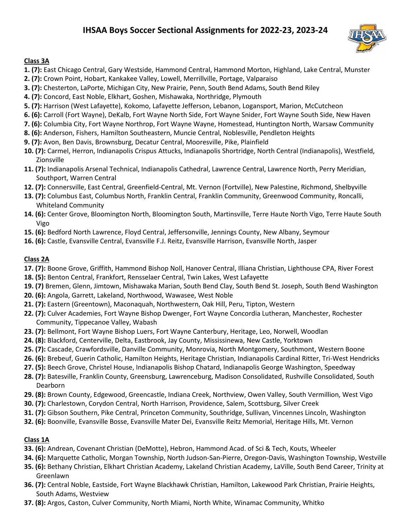## **IHSAA Boys Soccer Sectional Assignments for 2022-23, 2023-24**



## **Class 3A**

- **1. (7):** East Chicago Central, Gary Westside, Hammond Central, Hammond Morton, Highland, Lake Central, Munster
- **2. (7):** Crown Point, Hobart, Kankakee Valley, Lowell, Merrillville, Portage, Valparaiso
- **3. (7):** Chesterton, LaPorte, Michigan City, New Prairie, Penn, South Bend Adams, South Bend Riley
- **4. (7):** Concord, East Noble, Elkhart, Goshen, Mishawaka, Northridge, Plymouth
- **5. (7):** Harrison (West Lafayette), Kokomo, Lafayette Jefferson, Lebanon, Logansport, Marion, McCutcheon
- **6. (6):** Carroll (Fort Wayne), DeKalb, Fort Wayne North Side, Fort Wayne Snider, Fort Wayne South Side, New Haven
- **7. (6):** Columbia City, Fort Wayne Northrop, Fort Wayne Wayne, Homestead, Huntington North, Warsaw Community
- **8. (6):** Anderson, Fishers, Hamilton Southeastern, Muncie Central, Noblesville, Pendleton Heights
- **9. (7):** Avon, Ben Davis, Brownsburg, Decatur Central, Mooresville, Pike, Plainfield
- **10. (7):** Carmel, Herron, Indianapolis Crispus Attucks, Indianapolis Shortridge, North Central (Indianapolis), Westfield, Zionsville
- **11. (7):** Indianapolis Arsenal Technical, Indianapolis Cathedral, Lawrence Central, Lawrence North, Perry Meridian, Southport, Warren Central
- **12. (7):** Connersville, East Central, Greenfield-Central, Mt. Vernon (Fortville), New Palestine, Richmond, Shelbyville
- **13. (7):** Columbus East, Columbus North, Franklin Central, Franklin Community, Greenwood Community, Roncalli, Whiteland Community
- **14. (6):** Center Grove, Bloomington North, Bloomington South, Martinsville, Terre Haute North Vigo, Terre Haute South Vigo
- **15. (6):** Bedford North Lawrence, Floyd Central, Jeffersonville, Jennings County, New Albany, Seymour
- **16. (6):** Castle, Evansville Central, Evansville F.J. Reitz, Evansville Harrison, Evansville North, Jasper

## **Class 2A**

- **17. (7):** Boone Grove, Griffith, Hammond Bishop Noll, Hanover Central, Illiana Christian, Lighthouse CPA, River Forest
- **18. (5):** Benton Central, Frankfort, Rensselaer Central, Twin Lakes, West Lafayette
- **19. (7)** Bremen, Glenn, Jimtown, Mishawaka Marian, South Bend Clay, South Bend St. Joseph, South Bend Washington
- **20. (6):** Angola, Garrett, Lakeland, Northwood, Wawasee, West Noble
- **21. (7):** Eastern (Greentown), Maconaquah, Northwestern, Oak Hill, Peru, Tipton, Western
- **22. (7):** Culver Academies, Fort Wayne Bishop Dwenger, Fort Wayne Concordia Lutheran, Manchester, Rochester Community, Tippecanoe Valley, Wabash
- **23. (7):** Bellmont, Fort Wayne Bishop Luers, Fort Wayne Canterbury, Heritage, Leo, Norwell, Woodlan
- **24. (8):** Blackford, Centerville, Delta, Eastbrook, Jay County, Mississinewa, New Castle, Yorktown
- **25. (7):** Cascade, Crawfordsville, Danville Community, Monrovia, North Montgomery, Southmont, Western Boone
- **26. (6):** Brebeuf, Guerin Catholic, Hamilton Heights, Heritage Christian, Indianapolis Cardinal Ritter, Tri-West Hendricks
- **27. (5):** Beech Grove, Christel House, Indianapolis Bishop Chatard, Indianapolis George Washington, Speedway
- **28. (7):** Batesville, Franklin County, Greensburg, Lawrenceburg, Madison Consolidated, Rushville Consolidated, South Dearborn
- **29. (8):** Brown County, Edgewood, Greencastle, Indiana Creek, Northview, Owen Valley, South Vermillion, West Vigo
- **30. (7):** Charlestown, Corydon Central, North Harrison, Providence, Salem, Scottsburg, Silver Creek
- **31. (7):** Gibson Southern, Pike Central, Princeton Community, Southridge, Sullivan, Vincennes Lincoln, Washington
- **32. (6):** Boonville, Evansville Bosse, Evansville Mater Dei, Evansville Reitz Memorial, Heritage Hills, Mt. Vernon

## **Class 1A**

- **33. (6):** Andrean, Covenant Christian (DeMotte), Hebron, Hammond Acad. of Sci & Tech, Kouts, Wheeler
- **34. (6):** Marquette Catholic, Morgan Township, North Judson-San-Pierre, Oregon-Davis, Washington Township, Westville
- **35. (6):** Bethany Christian, Elkhart Christian Academy, Lakeland Christian Academy, LaVille, South Bend Career, Trinity at Greenlawn
- **36. (7):** Central Noble, Eastside, Fort Wayne Blackhawk Christian, Hamilton, Lakewood Park Christian, Prairie Heights, South Adams, Westview
- **37. (8):** Argos, Caston, Culver Community, North Miami, North White, Winamac Community, Whitko